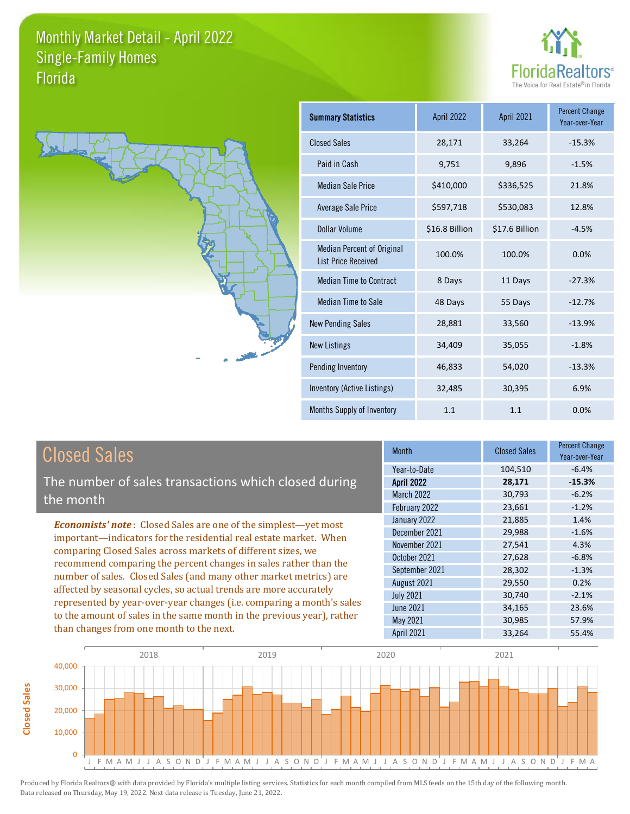**Closed Sales**

**Closed Sales** 





| <b>Summary Statistics</b>                                       | April 2022     | April 2021     | <b>Percent Change</b><br>Year-over-Year |
|-----------------------------------------------------------------|----------------|----------------|-----------------------------------------|
| <b>Closed Sales</b>                                             | 28,171         | 33,264         | $-15.3%$                                |
| Paid in Cash                                                    | 9,751          | 9,896          | $-1.5%$                                 |
| <b>Median Sale Price</b>                                        | \$410,000      | \$336,525      | 21.8%                                   |
| <b>Average Sale Price</b>                                       | \$597,718      | \$530,083      | 12.8%                                   |
| Dollar Volume                                                   | \$16.8 Billion | \$17.6 Billion | $-4.5%$                                 |
| <b>Median Percent of Original</b><br><b>List Price Received</b> | 100.0%         | 100.0%         | 0.0%                                    |
| <b>Median Time to Contract</b>                                  | 8 Days         | 11 Days        | $-27.3%$                                |
| <b>Median Time to Sale</b>                                      | 48 Days        | 55 Days        | $-12.7%$                                |
| <b>New Pending Sales</b>                                        | 28,881         | 33,560         | $-13.9%$                                |
| <b>New Listings</b>                                             | 34,409         | 35,055         | $-1.8%$                                 |
| Pending Inventory                                               | 46,833         | 54,020         | $-13.3%$                                |
| Inventory (Active Listings)                                     | 32,485         | 30,395         | 6.9%                                    |
| Months Supply of Inventory                                      | 1.1            | 1.1            | 0.0%                                    |

| <b>Closed Sales</b>                                                                                                                                                                                                                                                                                                                                                                                                                                                                                                                                                                                                      | <b>Month</b>                                                                                                                                                             | <b>Closed Sales</b>                                                                              | <b>Percent Change</b><br>Year-over-Year                                                     |
|--------------------------------------------------------------------------------------------------------------------------------------------------------------------------------------------------------------------------------------------------------------------------------------------------------------------------------------------------------------------------------------------------------------------------------------------------------------------------------------------------------------------------------------------------------------------------------------------------------------------------|--------------------------------------------------------------------------------------------------------------------------------------------------------------------------|--------------------------------------------------------------------------------------------------|---------------------------------------------------------------------------------------------|
| The number of sales transactions which closed during<br>the month                                                                                                                                                                                                                                                                                                                                                                                                                                                                                                                                                        | Year-to-Date<br><b>April 2022</b><br>March 2022<br>February 2022                                                                                                         | 104,510<br>28,171<br>30,793<br>23,661                                                            | $-6.4%$<br>$-15.3%$<br>$-6.2%$<br>$-1.2%$                                                   |
| <b>Economists' note:</b> Closed Sales are one of the simplest-yet most<br>important—indicators for the residential real estate market. When<br>comparing Closed Sales across markets of different sizes, we<br>recommend comparing the percent changes in sales rather than the<br>number of sales. Closed Sales (and many other market metrics) are<br>affected by seasonal cycles, so actual trends are more accurately<br>represented by year-over-year changes (i.e. comparing a month's sales<br>to the amount of sales in the same month in the previous year), rather<br>than changes from one month to the next. | January 2022<br>December 2021<br>November 2021<br>October 2021<br>September 2021<br>August 2021<br><b>July 2021</b><br><b>June 2021</b><br>May 2021<br><b>April 2021</b> | 21,885<br>29,988<br>27,541<br>27,628<br>28,302<br>29,550<br>30,740<br>34,165<br>30,985<br>33,264 | 1.4%<br>$-1.6%$<br>4.3%<br>$-6.8%$<br>$-1.3%$<br>0.2%<br>$-2.1%$<br>23.6%<br>57.9%<br>55.4% |

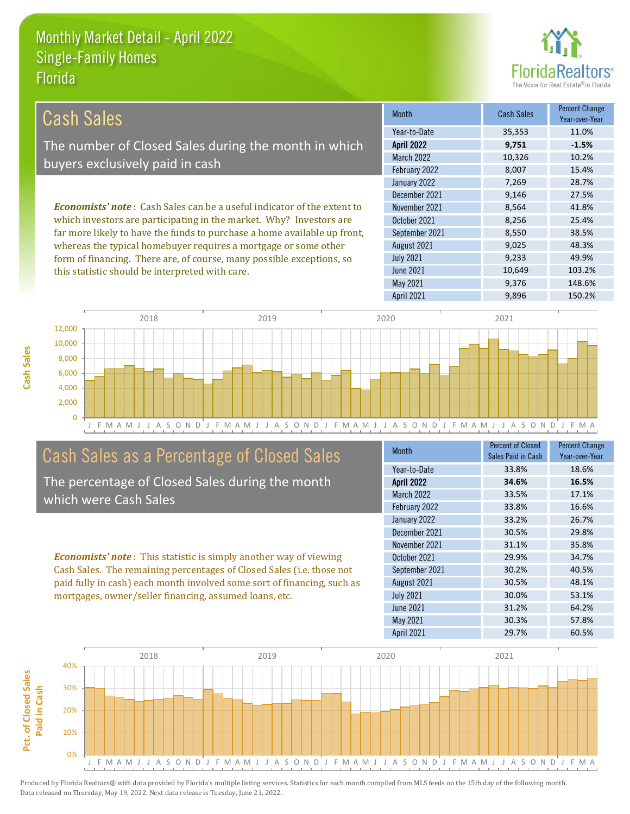

| Cash Sales                                                                     | <b>Month</b>      | <b>Cash Sales</b> | <b>Percent Change</b><br>Year-over-Year |
|--------------------------------------------------------------------------------|-------------------|-------------------|-----------------------------------------|
|                                                                                | Year-to-Date      | 35,353            | 11.0%                                   |
| The number of Closed Sales during the month in which                           | <b>April 2022</b> | 9,751             | $-1.5%$                                 |
| buyers exclusively paid in cash                                                | <b>March 2022</b> | 10,326            | 10.2%                                   |
|                                                                                | February 2022     | 8,007             | 15.4%                                   |
|                                                                                | January 2022      | 7,269             | 28.7%                                   |
|                                                                                | December 2021     | 9,146             | 27.5%                                   |
| <b>Economists' note:</b> Cash Sales can be a useful indicator of the extent to | November 2021     | 8,564             | 41.8%                                   |
| which investors are participating in the market. Why? Investors are            | October 2021      | 8,256             | 25.4%                                   |
| far more likely to have the funds to purchase a home available up front,       | September 2021    | 8,550             | 38.5%                                   |
| whereas the typical homebuyer requires a mortgage or some other                | August 2021       | 9,025             | 48.3%                                   |
| form of financing. There are, of course, many possible exceptions, so          | <b>July 2021</b>  | 9,233             | 49.9%                                   |
| this statistic should be interpreted with care.                                | <b>June 2021</b>  | 10.649            | 103.2%                                  |



### Cash Sales as a Percentage of Closed Sales

The percentage of Closed Sales during the month which were Cash Sales

*Economists' note* : This statistic is simply another way of viewing Cash Sales. The remaining percentages of Closed Sales (i.e. those not paid fully in cash) each month involved some sort of financing, such as mortgages, owner/seller financing, assumed loans, etc.

| <b>Month</b>      | <b>Percent of Closed</b> | <b>Percent Change</b> |
|-------------------|--------------------------|-----------------------|
|                   | Sales Paid in Cash       | Year-over-Year        |
| Year-to-Date      | 33.8%                    | 18.6%                 |
| <b>April 2022</b> | 34.6%                    | 16.5%                 |
| <b>March 2022</b> | 33.5%                    | 17.1%                 |
| February 2022     | 33.8%                    | 16.6%                 |
| January 2022      | 33.2%                    | 26.7%                 |
| December 2021     | 30.5%                    | 29.8%                 |
| November 2021     | 31.1%                    | 35.8%                 |
| October 2021      | 29.9%                    | 34.7%                 |
| September 2021    | 30.2%                    | 40.5%                 |
| August 2021       | 30.5%                    | 48.1%                 |
| <b>July 2021</b>  | 30.0%                    | 53.1%                 |
| <b>June 2021</b>  | 31.2%                    | 64.2%                 |
| May 2021          | 30.3%                    | 57.8%                 |
| <b>April 2021</b> | 29.7%                    | 60.5%                 |

May 2021 9,376 148.6%

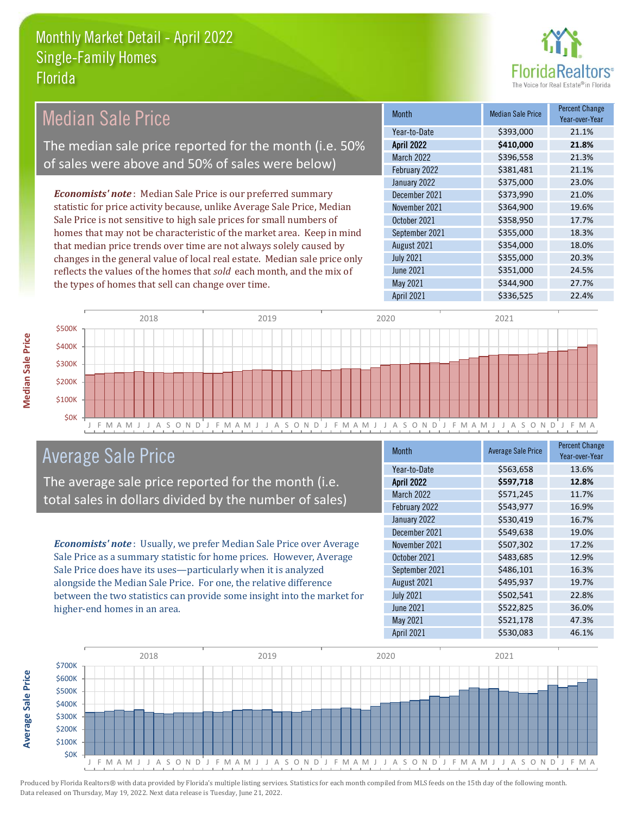

| <b>Median Sale Price</b>                                                  | <b>Month</b>      | <b>Median Sale Price</b> | <b>Percent Change</b><br>Year-over-Year |
|---------------------------------------------------------------------------|-------------------|--------------------------|-----------------------------------------|
|                                                                           | Year-to-Date      | \$393,000                | 21.1%                                   |
| The median sale price reported for the month (i.e. 50%                    | <b>April 2022</b> | \$410,000                | 21.8%                                   |
|                                                                           | March 2022        | \$396,558                | 21.3%                                   |
| of sales were above and 50% of sales were below)                          | February 2022     | \$381,481                | 21.1%                                   |
|                                                                           | January 2022      | \$375,000                | 23.0%                                   |
| <b>Economists' note:</b> Median Sale Price is our preferred summary       | December 2021     | \$373,990                | 21.0%                                   |
| statistic for price activity because, unlike Average Sale Price, Median   | November 2021     | \$364,900                | 19.6%                                   |
| Sale Price is not sensitive to high sale prices for small numbers of      | October 2021      | \$358,950                | 17.7%                                   |
| homes that may not be characteristic of the market area. Keep in mind     | September 2021    | \$355,000                | 18.3%                                   |
| that median price trends over time are not always solely caused by        | August 2021       | \$354,000                | 18.0%                                   |
| changes in the general value of local real estate. Median sale price only | <b>July 2021</b>  | \$355,000                | 20.3%                                   |
| reflects the values of the homes that sold each month, and the mix of     | June 2021         | \$351,000                | 24.5%                                   |
| the types of homes that sell can change over time.                        | May 2021          | \$344,900                | 27.7%                                   |
|                                                                           | <b>April 2021</b> | \$336.525                | 22.4%                                   |



### Average Sale Price

The average sale price reported for the month (i.e. total sales in dollars divided by the number of sales)

*Economists' note* : Usually, we prefer Median Sale Price over Average Sale Price as a summary statistic for home prices. However, Average Sale Price does have its uses—particularly when it is analyzed alongside the Median Sale Price. For one, the relative difference between the two statistics can provide some insight into the market for higher-end homes in an area.

| <b>Month</b>      | <b>Average Sale Price</b> | <b>Percent Change</b><br>Year-over-Year |
|-------------------|---------------------------|-----------------------------------------|
| Year-to-Date      | \$563,658                 | 13.6%                                   |
| <b>April 2022</b> | \$597,718                 | 12.8%                                   |
| <b>March 2022</b> | \$571,245                 | 11.7%                                   |
| February 2022     | \$543,977                 | 16.9%                                   |
| January 2022      | \$530,419                 | 16.7%                                   |
| December 2021     | \$549,638                 | 19.0%                                   |
| November 2021     | \$507,302                 | 17.2%                                   |
| October 2021      | \$483,685                 | 12.9%                                   |
| September 2021    | \$486,101                 | 16.3%                                   |
| August 2021       | \$495,937                 | 19.7%                                   |
| <b>July 2021</b>  | \$502,541                 | 22.8%                                   |
| <b>June 2021</b>  | \$522,825                 | 36.0%                                   |
| May 2021          | \$521,178                 | 47.3%                                   |
| <b>April 2021</b> | \$530,083                 | 46.1%                                   |



Produced by Florida Realtors® with data provided by Florida's multiple listing services. Statistics for each month compiled from MLS feeds on the 15th day of the following month. Data released on Thursday, May 19, 2022. Next data release is Tuesday, June 21, 2022.

**Average Sale Price**

**Average Sale Price**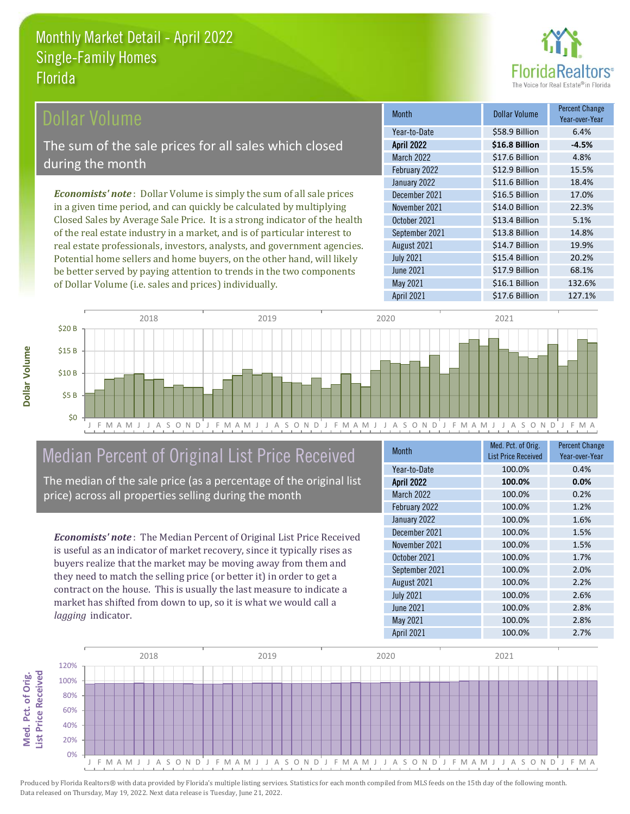

| <b>Dollar Volume</b>                                                         | <b>Month</b>      | <b>Dollar Volume</b> | <b>Percent Change</b><br>Year-over-Year |
|------------------------------------------------------------------------------|-------------------|----------------------|-----------------------------------------|
|                                                                              | Year-to-Date      | \$58.9 Billion       | 6.4%                                    |
| The sum of the sale prices for all sales which closed                        | <b>April 2022</b> | \$16.8 Billion       | $-4.5%$                                 |
|                                                                              | March 2022        | \$17.6 Billion       | 4.8%                                    |
| during the month!                                                            | February 2022     | \$12.9 Billion       | 15.5%                                   |
|                                                                              | January 2022      | \$11.6 Billion       | 18.4%                                   |
| <b>Economists' note</b> : Dollar Volume is simply the sum of all sale prices | December 2021     | \$16.5 Billion       | 17.0%                                   |
| in a given time period, and can quickly be calculated by multiplying         | November 2021     | \$14.0 Billion       | 22.3%                                   |
| Closed Sales by Average Sale Price. It is a strong indicator of the health   | October 2021      | \$13.4 Billion       | 5.1%                                    |
| of the real estate industry in a market, and is of particular interest to    | September 2021    | \$13.8 Billion       | 14.8%                                   |
| real estate professionals, investors, analysts, and government agencies.     | August 2021       | \$14.7 Billion       | 19.9%                                   |
| Potential home sellers and home buyers, on the other hand, will likely       | <b>July 2021</b>  | \$15.4 Billion       | 20.2%                                   |



## Median Percent of Original List Price Received

be better served by paying attention to trends in the two components

of Dollar Volume (i.e. sales and prices) individually.

The median of the sale price (as a percentage of the original list price) across all properties selling during the month

*Economists' note* : The Median Percent of Original List Price Received is useful as an indicator of market recovery, since it typically rises as buyers realize that the market may be moving away from them and they need to match the selling price (or better it) in order to get a contract on the house. This is usually the last measure to indicate a market has shifted from down to up, so it is what we would call a *lagging* indicator.

| <b>Month</b>      | Med. Pct. of Orig.         | <b>Percent Change</b> |
|-------------------|----------------------------|-----------------------|
|                   | <b>List Price Received</b> | Year-over-Year        |
| Year-to-Date      | 100.0%                     | 0.4%                  |
| <b>April 2022</b> | 100.0%                     | 0.0%                  |
| <b>March 2022</b> | 100.0%                     | 0.2%                  |
| February 2022     | 100.0%                     | 1.2%                  |
| January 2022      | 100.0%                     | 1.6%                  |
| December 2021     | 100.0%                     | 1.5%                  |
| November 2021     | 100.0%                     | 1.5%                  |
| October 2021      | 100.0%                     | 1.7%                  |
| September 2021    | 100.0%                     | 2.0%                  |
| August 2021       | 100.0%                     | 2.2%                  |
| <b>July 2021</b>  | 100.0%                     | 2.6%                  |
| <b>June 2021</b>  | 100.0%                     | 2.8%                  |
| May 2021          | 100.0%                     | 2.8%                  |
| April 2021        | 100.0%                     | 2.7%                  |

April 2021 **S17.6 Billion** 127.1%

May 2021 \$16.1 Billion 132.6%

\$17.9 Billion 68.1%

June 2021

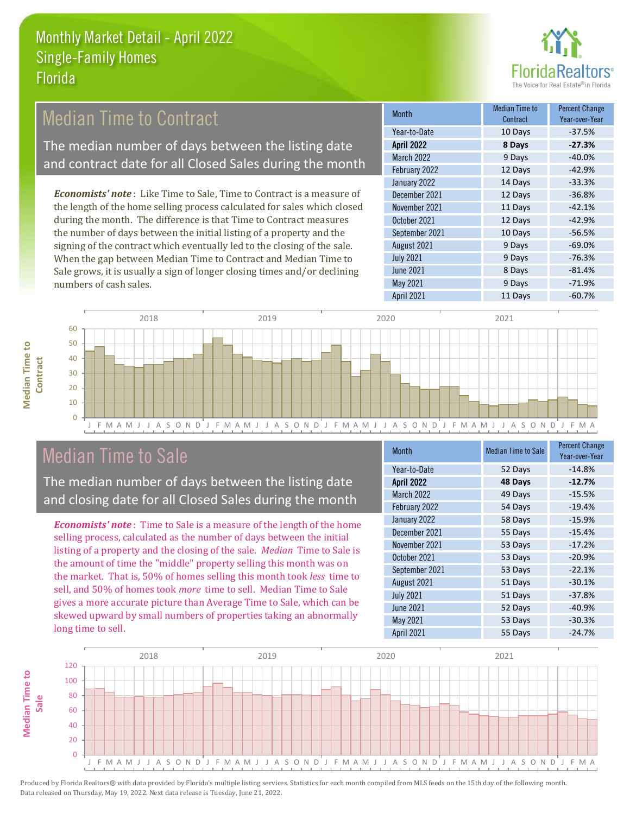

#### 12 Days -42.9% January 2022 14 Days -33.3% **Month** Median Time to Contract Percent Change Year-over-Year April 2022 **8 Days -27.3%** Year-to-Date 10 Days -37.5% March 2022 9 Days -40.0% February 2022 October 2021 12 Days -42.9% September 2021 10 Days -56.5% December 2021 **12 Days** -36.8% November 2021 **11 Days** -42.1% *Economists' note* : Like Time to Sale, Time to Contract is a measure of the length of the home selling process calculated for sales which closed during the month. The difference is that Time to Contract measures the number of days between the initial listing of a property and the Median Time to Contract The median number of days between the listing date and contract date for all Closed Sales during the month

signing of the contract which eventually led to the closing of the sale. When the gap between Median Time to Contract and Median Time to Sale grows, it is usually a sign of longer closing times and/or declining numbers of cash sales.

| IIIUILII          | Contract | Year-over-Year |
|-------------------|----------|----------------|
| Year-to-Date      | 10 Days  | $-37.5%$       |
| <b>April 2022</b> | 8 Days   | $-27.3%$       |
| March 2022        | 9 Days   | $-40.0%$       |
| February 2022     | 12 Days  | $-42.9%$       |
| January 2022      | 14 Days  | $-33.3%$       |
| December 2021     | 12 Days  | $-36.8%$       |
| November 2021     | 11 Days  | $-42.1%$       |
| October 2021      | 12 Days  | $-42.9%$       |
| September 2021    | 10 Days  | $-56.5%$       |
| August 2021       | 9 Days   | $-69.0%$       |
| <b>July 2021</b>  | 9 Days   | $-76.3%$       |
| <b>June 2021</b>  | 8 Days   | $-81.4%$       |
| May 2021          | 9 Days   | $-71.9%$       |
| <b>April 2021</b> | 11 Days  | $-60.7%$       |



## Median Time to Sale

**Median Time to** 

**Median Time to** 

The median number of days between the listing date and closing date for all Closed Sales during the month

*Economists' note* : Time to Sale is a measure of the length of the home selling process, calculated as the number of days between the initial listing of a property and the closing of the sale. *Median* Time to Sale is the amount of time the "middle" property selling this month was on the market. That is, 50% of homes selling this month took *less* time to sell, and 50% of homes took *more* time to sell. Median Time to Sale gives a more accurate picture than Average Time to Sale, which can be skewed upward by small numbers of properties taking an abnormally long time to sell.

| <b>Month</b>      | <b>Median Time to Sale</b> | <b>Percent Change</b><br>Year-over-Year |
|-------------------|----------------------------|-----------------------------------------|
| Year-to-Date      | 52 Days                    | $-14.8%$                                |
| <b>April 2022</b> | 48 Days                    | $-12.7%$                                |
| <b>March 2022</b> | 49 Days                    | $-15.5%$                                |
| February 2022     | 54 Days                    | $-19.4%$                                |
| January 2022      | 58 Days                    | $-15.9%$                                |
| December 2021     | 55 Days                    | $-15.4%$                                |
| November 2021     | 53 Days                    | $-17.2%$                                |
| October 2021      | 53 Days                    | $-20.9%$                                |
| September 2021    | 53 Days                    | $-22.1%$                                |
| August 2021       | 51 Days                    | $-30.1%$                                |
| <b>July 2021</b>  | 51 Days                    | $-37.8%$                                |
| <b>June 2021</b>  | 52 Days                    | $-40.9%$                                |
| May 2021          | 53 Days                    | $-30.3%$                                |
| <b>April 2021</b> | 55 Days                    | $-24.7%$                                |

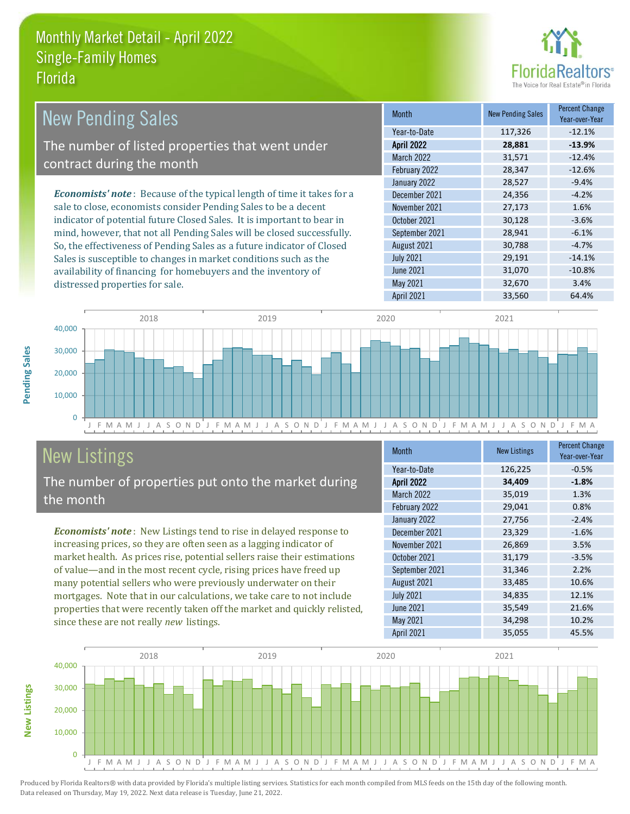distressed properties for sale.



| <b>New Pending Sales</b>                                                      | <b>Month</b>      | <b>New Pending Sales</b> | <b>Percent Change</b><br>Year-over-Year |
|-------------------------------------------------------------------------------|-------------------|--------------------------|-----------------------------------------|
|                                                                               | Year-to-Date      | 117,326                  | $-12.1%$                                |
| The number of listed properties that went under                               | <b>April 2022</b> | 28,881                   | $-13.9%$                                |
| contract during the month                                                     | <b>March 2022</b> | 31,571                   | $-12.4%$                                |
|                                                                               | February 2022     | 28,347                   | $-12.6%$                                |
|                                                                               | January 2022      | 28,527                   | $-9.4%$                                 |
| <b>Economists' note:</b> Because of the typical length of time it takes for a | December 2021     | 24,356                   | $-4.2%$                                 |
| sale to close, economists consider Pending Sales to be a decent               | November 2021     | 27,173                   | 1.6%                                    |
| indicator of potential future Closed Sales. It is important to bear in        | October 2021      | 30,128                   | $-3.6%$                                 |
| mind, however, that not all Pending Sales will be closed successfully.        | September 2021    | 28,941                   | $-6.1%$                                 |
| So, the effectiveness of Pending Sales as a future indicator of Closed        | August 2021       | 30,788                   | $-4.7%$                                 |
| Sales is susceptible to changes in market conditions such as the              | <b>July 2021</b>  | 29,191                   | $-14.1%$                                |
| availability of financing for homebuyers and the inventory of                 | June 2021         | 31,070                   | $-10.8%$                                |



# New Listings

The number of properties put onto the market during the month

*Economists' note* : New Listings tend to rise in delayed response to increasing prices, so they are often seen as a lagging indicator of market health. As prices rise, potential sellers raise their estimations of value—and in the most recent cycle, rising prices have freed up many potential sellers who were previously underwater on their mortgages. Note that in our calculations, we take care to not include properties that were recently taken off the market and quickly relisted, since these are not really *new* listings.

| <b>Month</b>      | <b>New Listings</b> | <b>Percent Change</b><br>Year-over-Year |
|-------------------|---------------------|-----------------------------------------|
| Year-to-Date      | 126,225             | $-0.5%$                                 |
| <b>April 2022</b> | 34,409              | $-1.8%$                                 |
| March 2022        | 35,019              | 1.3%                                    |
| February 2022     | 29,041              | 0.8%                                    |
| January 2022      | 27,756              | $-2.4%$                                 |
| December 2021     | 23,329              | $-1.6%$                                 |
| November 2021     | 26,869              | 3.5%                                    |
| October 2021      | 31,179              | $-3.5%$                                 |
| September 2021    | 31,346              | 2.2%                                    |
| August 2021       | 33,485              | 10.6%                                   |
| <b>July 2021</b>  | 34,835              | 12.1%                                   |
| <b>June 2021</b>  | 35,549              | 21.6%                                   |
| May 2021          | 34,298              | 10.2%                                   |
| <b>April 2021</b> | 35,055              | 45.5%                                   |

May 2021 32,670 3.4% April 2021 33,560 64.4%



Produced by Florida Realtors® with data provided by Florida's multiple listing services. Statistics for each month compiled from MLS feeds on the 15th day of the following month. Data released on Thursday, May 19, 2022. Next data release is Tuesday, June 21, 2022.

**New Listings**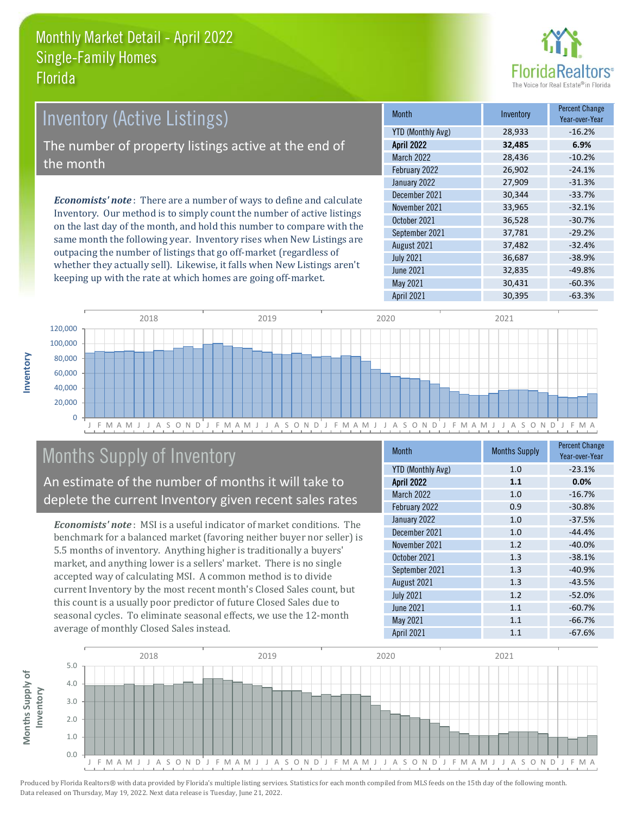

# *Economists' note* : There are a number of ways to define and calculate Inventory. Our method is to simply count the number of active listings Inventory (Active Listings) The number of property listings active at the end of the month

on the last day of the month, and hold this number to compare with the same month the following year. Inventory rises when New Listings are outpacing the number of listings that go off-market (regardless of whether they actually sell). Likewise, it falls when New Listings aren't keeping up with the rate at which homes are going off-market.

| <b>Month</b>             | Inventory | Percent Change<br>Year-over-Year |
|--------------------------|-----------|----------------------------------|
| <b>YTD (Monthly Avg)</b> | 28,933    | $-16.2%$                         |
| <b>April 2022</b>        | 32,485    | 6.9%                             |
| <b>March 2022</b>        | 28,436    | $-10.2%$                         |
| February 2022            | 26,902    | $-24.1%$                         |
| January 2022             | 27,909    | $-31.3%$                         |
| December 2021            | 30,344    | $-33.7%$                         |
| November 2021            | 33,965    | $-32.1%$                         |
| October 2021             | 36,528    | $-30.7%$                         |
| September 2021           | 37,781    | $-29.2%$                         |
| August 2021              | 37,482    | $-32.4%$                         |
| <b>July 2021</b>         | 36,687    | $-38.9%$                         |
| <b>June 2021</b>         | 32,835    | $-49.8%$                         |
| May 2021                 | 30,431    | $-60.3%$                         |
| <b>April 2021</b>        | 30,395    | $-63.3%$                         |



# Months Supply of Inventory

An estimate of the number of months it will take to deplete the current Inventory given recent sales rates

*Economists' note* : MSI is a useful indicator of market conditions. The benchmark for a balanced market (favoring neither buyer nor seller) is 5.5 months of inventory. Anything higher is traditionally a buyers' market, and anything lower is a sellers' market. There is no single accepted way of calculating MSI. A common method is to divide current Inventory by the most recent month's Closed Sales count, but this count is a usually poor predictor of future Closed Sales due to seasonal cycles. To eliminate seasonal effects, we use the 12-month average of monthly Closed Sales instead.

| Month                    | <b>Months Supply</b> | <b>Percent Change</b><br>Year-over-Year |
|--------------------------|----------------------|-----------------------------------------|
| <b>YTD (Monthly Avg)</b> | 1.0                  | $-23.1%$                                |
| <b>April 2022</b>        | 1.1                  | 0.0%                                    |
| <b>March 2022</b>        | 1.0                  | $-16.7%$                                |
| February 2022            | 0.9                  | $-30.8%$                                |
| January 2022             | 1.0                  | $-37.5%$                                |
| December 2021            | 1.0                  | $-44.4%$                                |
| November 2021            | 1.2                  | $-40.0%$                                |
| October 2021             | 1.3                  | $-38.1%$                                |
| September 2021           | 1.3                  | $-40.9%$                                |
| August 2021              | 1.3                  | $-43.5%$                                |
| <b>July 2021</b>         | 1.2                  | $-52.0%$                                |
| <b>June 2021</b>         | 1.1                  | $-60.7%$                                |
| May 2021                 | 1.1                  | $-66.7%$                                |
| <b>April 2021</b>        | 1.1                  | $-67.6%$                                |

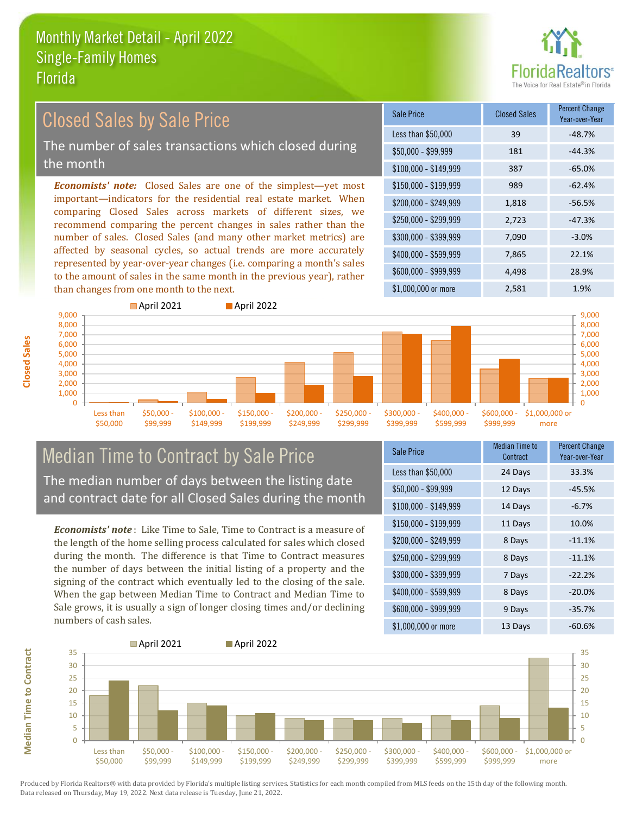

# Closed Sales by Sale Price

The number of sales transactions which closed during the month

*Economists' note:* Closed Sales are one of the simplest—yet most important—indicators for the residential real estate market. When comparing Closed Sales across markets of different sizes, we recommend comparing the percent changes in sales rather than the number of sales. Closed Sales (and many other market metrics) are affected by seasonal cycles, so actual trends are more accurately represented by year-over-year changes (i.e. comparing a month's sales to the amount of sales in the same month in the previous year), rather than changes from one month to the next.

| Sale Price            | <b>Closed Sales</b> | <b>Percent Change</b><br>Year-over-Year |
|-----------------------|---------------------|-----------------------------------------|
| Less than \$50,000    | 39                  | $-48.7%$                                |
| $$50,000 - $99,999$   | 181                 | $-44.3%$                                |
| $$100,000 - $149,999$ | 387                 | $-65.0%$                                |
| $$150,000 - $199,999$ | 989                 | $-62.4%$                                |
| \$200,000 - \$249,999 | 1,818               | $-56.5%$                                |
| \$250,000 - \$299,999 | 2,723               | $-47.3%$                                |
| \$300,000 - \$399,999 | 7,090               | $-3.0%$                                 |
| \$400,000 - \$599,999 | 7,865               | 22.1%                                   |
| \$600,000 - \$999,999 | 4,498               | 28.9%                                   |
| \$1,000,000 or more   | 2,581               | 1.9%                                    |



# Median Time to Contract by Sale Price The median number of days between the listing date

and contract date for all Closed Sales during the month

*Economists' note* : Like Time to Sale, Time to Contract is a measure of the length of the home selling process calculated for sales which closed during the month. The difference is that Time to Contract measures the number of days between the initial listing of a property and the signing of the contract which eventually led to the closing of the sale. When the gap between Median Time to Contract and Median Time to Sale grows, it is usually a sign of longer closing times and/or declining numbers of cash sales.

| <b>Sale Price</b>     | <b>Median Time to</b><br>Contract | <b>Percent Change</b><br>Year-over-Year |
|-----------------------|-----------------------------------|-----------------------------------------|
| Less than \$50,000    | 24 Days                           | 33.3%                                   |
| $$50,000 - $99,999$   | 12 Days                           | $-45.5%$                                |
| $$100,000 - $149,999$ | 14 Days                           | $-6.7%$                                 |
| $$150,000 - $199,999$ | 11 Days                           | 10.0%                                   |
| \$200,000 - \$249,999 | 8 Days                            | $-11.1%$                                |
| \$250,000 - \$299,999 | 8 Days                            | $-11.1%$                                |
| \$300,000 - \$399,999 | 7 Days                            | $-22.2%$                                |
| \$400,000 - \$599,999 | 8 Days                            | $-20.0%$                                |
| \$600,000 - \$999,999 | 9 Days                            | $-35.7%$                                |
| \$1,000,000 or more   | 13 Days                           | -60.6%                                  |



Produced by Florida Realtors® with data provided by Florida's multiple listing services. Statistics for each month compiled from MLS feeds on the 15th day of the following month. Data released on Thursday, May 19, 2022. Next data release is Tuesday, June 21, 2022.

**Median Time to Contract Median Time to Contract**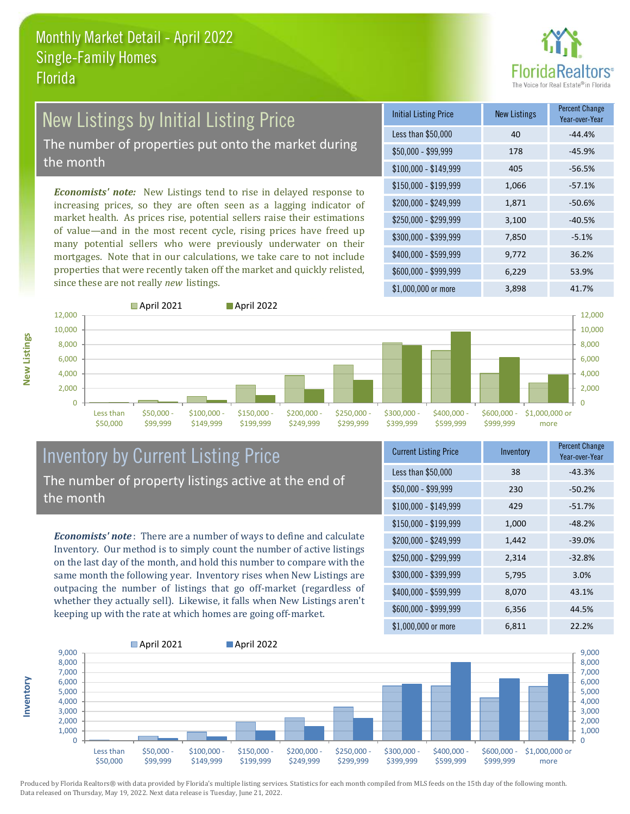

# New Listings by Initial Listing Price

The number of properties put onto the market during the month

*Economists' note:* New Listings tend to rise in delayed response to increasing prices, so they are often seen as a lagging indicator of market health. As prices rise, potential sellers raise their estimations of value—and in the most recent cycle, rising prices have freed up many potential sellers who were previously underwater on their mortgages. Note that in our calculations, we take care to not include properties that were recently taken off the market and quickly relisted, since these are not really *new* listings.

| <b>Initial Listing Price</b> | <b>New Listings</b> | <b>Percent Change</b><br>Year-over-Year |
|------------------------------|---------------------|-----------------------------------------|
| Less than \$50,000           | 40                  | $-44.4%$                                |
| $$50,000 - $99,999$          | 178                 | $-45.9%$                                |
| $$100,000 - $149,999$        | 405                 | $-56.5%$                                |
| $$150,000 - $199,999$        | 1,066               | $-57.1%$                                |
| \$200,000 - \$249,999        | 1,871               | $-50.6%$                                |
| \$250,000 - \$299,999        | 3,100               | $-40.5%$                                |
| \$300,000 - \$399,999        | 7,850               | $-5.1%$                                 |
| \$400,000 - \$599,999        | 9,772               | 36.2%                                   |
| \$600,000 - \$999,999        | 6,229               | 53.9%                                   |
| \$1,000,000 or more          | 3,898               | 41.7%                                   |



### Inventory by Current Listing Price The number of property listings active at the end of the month

*Economists' note* : There are a number of ways to define and calculate Inventory. Our method is to simply count the number of active listings on the last day of the month, and hold this number to compare with the same month the following year. Inventory rises when New Listings are outpacing the number of listings that go off-market (regardless of whether they actually sell). Likewise, it falls when New Listings aren't keeping up with the rate at which homes are going off-market.

| <b>Current Listing Price</b> | Inventory | Percent Change<br>Year-over-Year |
|------------------------------|-----------|----------------------------------|
| Less than \$50,000           | 38        | $-43.3%$                         |
| $$50,000 - $99,999$          | 230       | $-50.2%$                         |
| $$100,000 - $149,999$        | 429       | $-51.7%$                         |
| $$150,000 - $199,999$        | 1,000     | $-48.2%$                         |
| \$200,000 - \$249,999        | 1,442     | $-39.0%$                         |
| \$250,000 - \$299,999        | 2,314     | $-32.8%$                         |
| \$300,000 - \$399,999        | 5,795     | 3.0%                             |
| \$400,000 - \$599,999        | 8,070     | 43.1%                            |
| \$600,000 - \$999,999        | 6,356     | 44.5%                            |
| \$1,000,000 or more          | 6,811     | 22.2%                            |



Produced by Florida Realtors® with data provided by Florida's multiple listing services. Statistics for each month compiled from MLS feeds on the 15th day of the following month. Data released on Thursday, May 19, 2022. Next data release is Tuesday, June 21, 2022.

**Inventory**